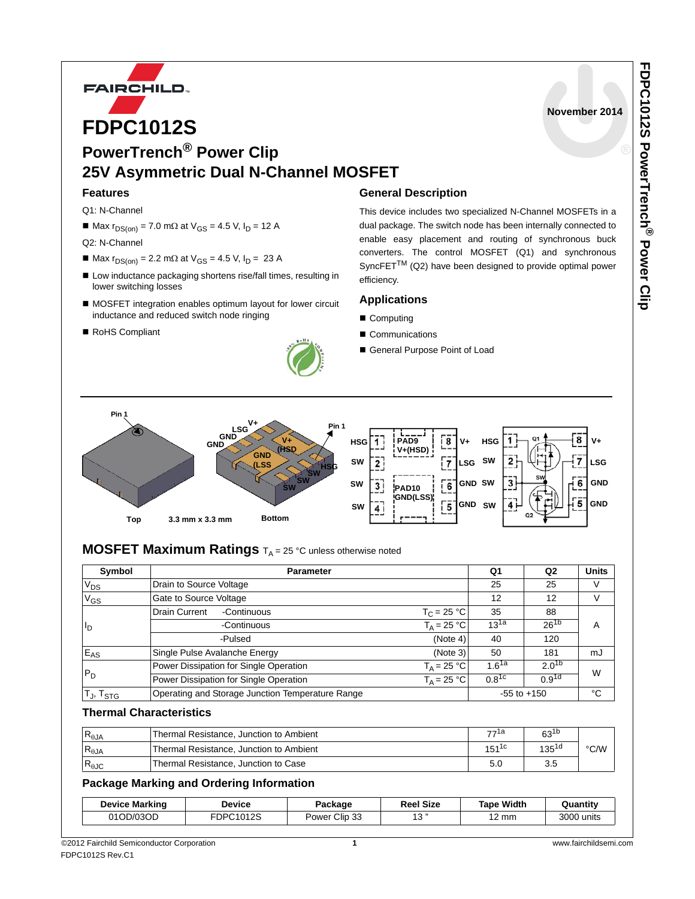

**PowerTrench® Power Clip 25V Asymmetric Dual N-Channel MOSFET**

### **Features**

Q1: N-Channel

 $M = Max r<sub>DS(on)</sub> = 7.0 mΩ at V<sub>GS</sub> = 4.5 V, I<sub>D</sub> = 12 A$ 

Q2: N-Channel

- $Max r<sub>DS(on)</sub> = 2.2 mΩ at V<sub>GS</sub> = 4.5 V, I<sub>D</sub> = 23 A$
- Low inductance packaging shortens rise/fall times, resulting in lower switching losses
- MOSFET integration enables optimum layout for lower circuit inductance and reduced switch node ringing
- RoHS Compliant



### **General Description**

This device includes two specialized N-Channel MOSFETs in a dual package. The switch node has been internally connected to enable easy placement and routing of synchronous buck converters. The control MOSFET (Q1) and synchronous SyncFET<sup>TM</sup> (Q2) have been designed to provide optimal power efficiency.

### **Applications**

- Computing
- Communications
- General Purpose Point of Load



## **MOSFET Maximum Ratings**  $T_A = 25$  °C unless otherwise noted

| Symbol            | <b>Parameter</b>                                               | Q1         | Q <sub>2</sub>    | <b>Units</b> |
|-------------------|----------------------------------------------------------------|------------|-------------------|--------------|
| $V_{DS}$          | Drain to Source Voltage                                        | 25         | 25                | V            |
| $V_{GS}$          | Gate to Source Voltage                                         | 12         | 12                | V            |
| $I_{\mathsf{D}}$  | Drain Current<br>$T_C = 25 °C$<br>-Continuous                  |            | 88                |              |
|                   | $T_A = 25 °C$<br>-Continuous                                   |            | $26^{1b}$         | A            |
|                   | (Note 4)<br>-Pulsed                                            | 40         | 120               |              |
| $E_{AS}$          | Single Pulse Avalanche Energy<br>(Note 3)                      | 50         | 181               | mJ           |
| $P_D$             | $T_A = 25 °C$<br>Power Dissipation for Single Operation        | $1.6^{1a}$ | $2.0^{1b}$        | W            |
|                   | Power Dissipation for Single Operation<br>$T_{\Delta}$ = 25 °C |            | 0.9 <sup>1d</sup> |              |
| $T_J$ , $T_{STG}$ | Operating and Storage Junction Temperature Range               |            | $-55$ to $+150$   | °C           |

### **Thermal Characteristics**

| $R_{\theta$ JA | Thermal Resistance, Junction to Ambient | –,⊸1а      | $63^{1b}$  |      |
|----------------|-----------------------------------------|------------|------------|------|
| $R_{\theta$ JA | Thermal Resistance, Junction to Ambient | $151^{1c}$ | $135^{1d}$ | °C/W |
| $R_{\theta$ JC | Thermal Resistance, Junction to Case    |            | 3.5        |      |

### **Package Marking and Ordering Information**

| <b>Device Marking</b> | Device    | Package                 | Reel Size  | Width<br>Tape | Quantity   |
|-----------------------|-----------|-------------------------|------------|---------------|------------|
| 01OD/03OD             | FDPC1012S | Clip<br>. 33<br>Power ( | ົ້າ<br>. ب | າດ<br>∵mm     | 3000 units |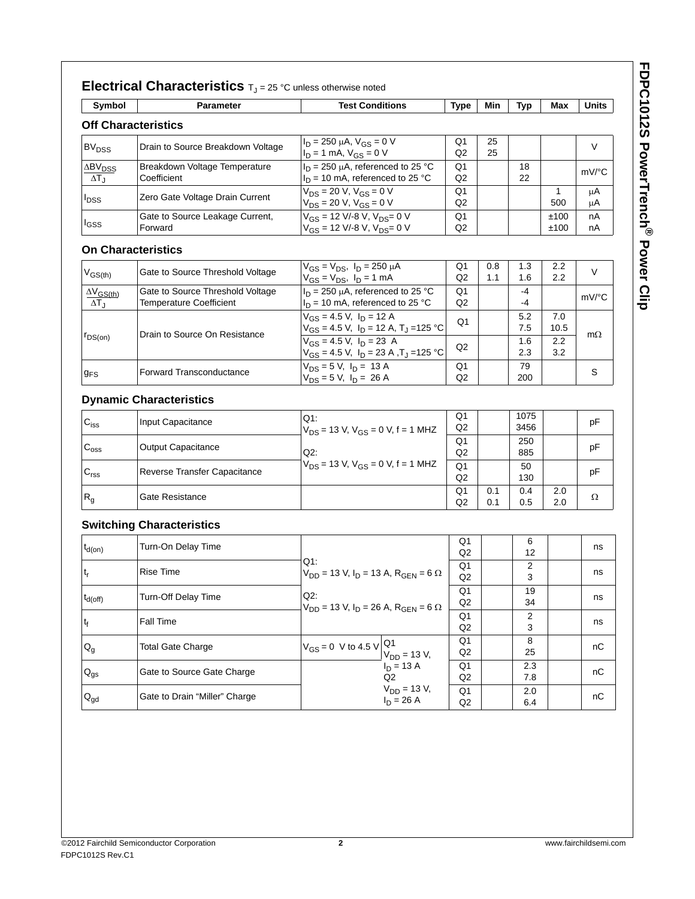| I      |
|--------|
|        |
|        |
|        |
|        |
|        |
| ۰<br>7 |
|        |
|        |
|        |
|        |
|        |
|        |
| ı      |
|        |
|        |
|        |
|        |
| ١      |
|        |
|        |
|        |
|        |
|        |
|        |
| J      |
|        |
|        |

|                                                    | <b>Electrical Characteristics</b> $T_J = 25$ °C unless otherwise noted |                                                                                            |                      |            |              |                     |           |
|----------------------------------------------------|------------------------------------------------------------------------|--------------------------------------------------------------------------------------------|----------------------|------------|--------------|---------------------|-----------|
| Symbol                                             | <b>Parameter</b>                                                       | <b>Test Conditions</b>                                                                     | <b>Type</b>          | Min        | Typ          | Max                 | Units     |
|                                                    | <b>Off Characteristics</b>                                             |                                                                                            |                      |            |              |                     |           |
| BV <sub>DSS</sub>                                  | Drain to Source Breakdown Voltage                                      | $I_D = 250 \mu A$ , $V_{GS} = 0 V$<br>$I_D = 1$ mA, $V_{GS} = 0$ V                         | Q <sub>1</sub><br>Q2 | 25<br>25   |              |                     | V         |
| <b>ABV<sub>DSS</sub></b><br>$\Delta T_J$           | Breakdown Voltage Temperature<br>Coefficient                           | $I_D = 250 \mu A$ , referenced to 25 °C<br>$I_D$ = 10 mA, referenced to 25 °C              | Q <sub>1</sub><br>Q2 |            | 18<br>22     |                     | mV/°C     |
| <b>I</b> DSS                                       | Zero Gate Voltage Drain Current                                        | $V_{DS} = 20 \text{ V}, V_{GS} = 0 \text{ V}$<br>$V_{DS}$ = 20 V, $V_{GS}$ = 0 V           | Q1<br>Q2             |            |              | $\mathbf{1}$<br>500 | μA<br>μA  |
| l <sub>GSS</sub>                                   | Gate to Source Leakage Current,<br>Forward                             | $V_{GS}$ = 12 V/-8 V, $V_{DS}$ = 0 V<br>$V_{GS}$ = 12 V/-8 V, $V_{DS}$ = 0 V               | Q1<br>Q <sub>2</sub> |            |              | ±100<br>±100        | nA<br>nA  |
|                                                    | <b>On Characteristics</b>                                              |                                                                                            |                      |            |              |                     |           |
| $V_{GS(th)}$                                       | Gate to Source Threshold Voltage                                       | $V_{GS} = V_{DS}$ , $I_D = 250 \mu A$<br>$V_{GS} = V_{DS}$ , $I_D = 1$ mA                  | Q1<br>Q2             | 0.8<br>1.1 | 1.3<br>1.6   | 2.2<br>2.2          | $\vee$    |
| $\Delta V$ <sub>GS(th)</sub><br>$\Delta T_{\rm J}$ | Gate to Source Threshold Voltage<br><b>Temperature Coefficient</b>     | $I_D$ = 250 µA, referenced to 25 °C<br>$I_D = 10$ mA, referenced to 25 °C                  | Q1<br>Q2             |            | -4<br>-4     |                     | mV/°C     |
|                                                    | Drain to Source On Resistance                                          | $V_{GS}$ = 4.5 V, $I_D$ = 12 A<br>$V_{GS}$ = 4.5 V, $I_D$ = 12 A, T <sub>J</sub> = 125 °C  | Q1                   |            | 5.2<br>7.5   | 7.0<br>10.5         |           |
| $\Gamma$ DS(on)                                    |                                                                        | $V_{GS}$ = 4.5 V, $I_D$ = 23 A<br>$V_{GS}$ = 4.5 V, $I_D$ = 23 A , T <sub>J</sub> = 125 °C | Q2                   |            | 1.6<br>2.3   | 2.2<br>3.2          | $m\Omega$ |
| $g_{FS}$                                           | Forward Transconductance                                               | $V_{DS} = 5 V$ , $I_D = 13 A$<br>$V_{DS} = 5 V$ , $I_D = 26 A$                             | Q1<br>Q2             |            | 79<br>200    |                     | S         |
|                                                    | <b>Dynamic Characteristics</b>                                         |                                                                                            |                      |            |              |                     |           |
| $C_{iss}$                                          | Input Capacitance                                                      | Q1:<br>$V_{DS}$ = 13 V, $V_{GS}$ = 0 V, f = 1 MHZ                                          | Q1<br>Q <sub>2</sub> |            | 1075<br>3456 |                     | рF        |
| $C_{\text{oss}}$                                   | <b>Output Capacitance</b>                                              | Q2:                                                                                        | Q1<br>Q2             |            | 250<br>885   |                     | рF        |
| $\mathbf{C}_{\text{rss}}$                          | Reverse Transfer Capacitance                                           | $V_{DS}$ = 13 V, $V_{GS}$ = 0 V, f = 1 MHZ                                                 | Q <sub>1</sub><br>Q2 |            | 50<br>130    |                     | рF        |
| R <sub>g</sub>                                     | Gate Resistance                                                        |                                                                                            | Q1<br>Q2             | 0.1<br>0.1 | 0.4<br>0.5   | 2.0<br>2.0          | Ω         |
|                                                    | <b>Switching Characteristics</b>                                       |                                                                                            |                      |            |              |                     |           |
| $t_{d(on)}$                                        | Turn-On Delay Time                                                     |                                                                                            | Q1<br>Q <sub>2</sub> |            | 6<br>12      |                     | ns        |
| $t_{r}$                                            | Rise Time                                                              | Q1:<br>$V_{DD}$ = 13 V, I <sub>D</sub> = 13 A, R <sub>GEN</sub> = 6 $\Omega$               | Q1<br>Q <sub>2</sub> |            | 2<br>3       |                     | ns        |
| $t_{d(off)}$                                       | Turn-Off Delay Time                                                    | $Q2$ :                                                                                     | Q1<br>Q2             |            | 19<br>34     |                     | ns        |
| $\mathfrak{t}_{\mathsf{f}}$                        | Fall Time                                                              | $V_{DD}$ = 13 V, I <sub>D</sub> = 26 A, R <sub>GEN</sub> = 6 $\Omega$                      | Q1<br>Q2             |            | 2<br>3       |                     | ns        |
| $Q_g$                                              | <b>Total Gate Charge</b>                                               | Q1<br>$V_{GS} = 0$ V to 4.5 V<br>$V_{DD} = 13 V,$                                          | Q <sub>1</sub><br>Q2 |            | 8<br>25      |                     | nС        |
| $\mathsf{Q}_{\mathsf{gs}}$                         | Gate to Source Gate Charge                                             | $I_D = 13 A$<br>Q2                                                                         | Q1<br>Q2             |            | 2.3<br>7.8   |                     | nС        |
| $\mathsf{Q}_{\mathsf{gd}}$                         | Gate to Drain "Miller" Charge                                          | $V_{DD}$ = 13 V,<br>$I_D = 26 A$                                                           | Q1<br>Q2             |            | 2.0<br>6.4   |                     | nС        |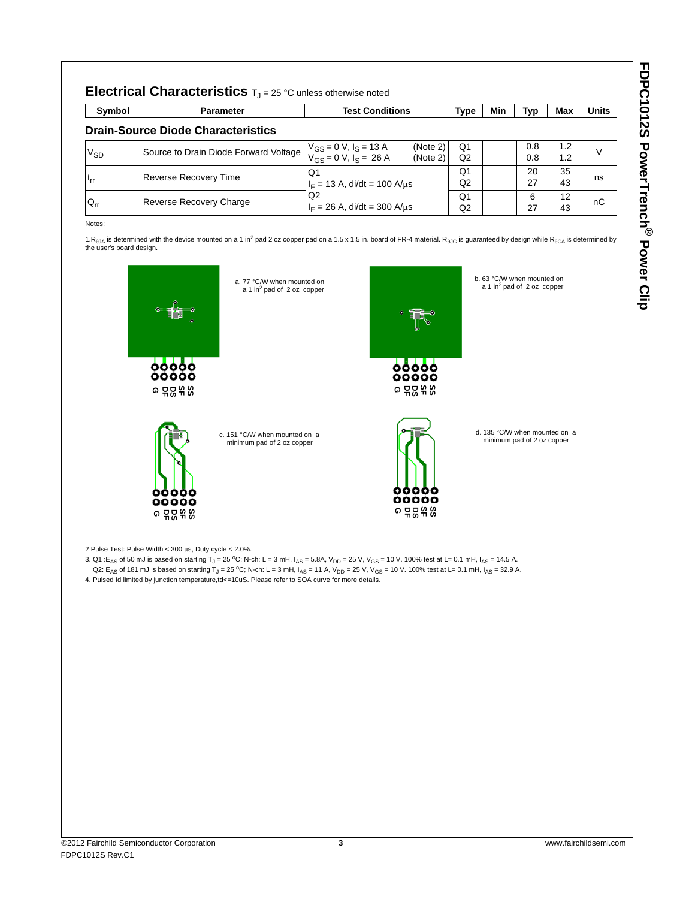| I                                                                                                              |
|----------------------------------------------------------------------------------------------------------------|
|                                                                                                                |
|                                                                                                                |
|                                                                                                                |
|                                                                                                                |
| ۰                                                                                                              |
|                                                                                                                |
|                                                                                                                |
|                                                                                                                |
|                                                                                                                |
|                                                                                                                |
|                                                                                                                |
| ı                                                                                                              |
|                                                                                                                |
|                                                                                                                |
|                                                                                                                |
| in the control of the control of the control of the control of the control of the control of the control of th |
| ١<br>I                                                                                                         |
|                                                                                                                |
|                                                                                                                |
|                                                                                                                |
|                                                                                                                |
|                                                                                                                |
|                                                                                                                |
|                                                                                                                |
|                                                                                                                |
|                                                                                                                |

| Symbol                     | <b>Parameter</b>                          | <b>Test Conditions</b>                                                               | <b>Type</b>          | Min | Typ        | Max        | <b>Units</b> |
|----------------------------|-------------------------------------------|--------------------------------------------------------------------------------------|----------------------|-----|------------|------------|--------------|
|                            | <b>Drain-Source Diode Characteristics</b> |                                                                                      |                      |     |            |            |              |
| V <sub>SD</sub>            | Source to Drain Diode Forward Voltage     | (Note 2)<br>$V_{GS} = 0$ V, $I_S = 13$ A<br>$V_{GS} = 0$ V, $I_S = 26$ A<br>(Note 2) | Q1<br>Q2             |     | 0.8<br>0.8 | 1.2<br>1.2 | $\vee$       |
| $\mathfrak{t}_{\text{rr}}$ | Reverse Recovery Time                     | Q1<br>$I_F = 13$ A, di/dt = 100 A/us                                                 | O <sub>1</sub><br>Q2 |     | 20<br>27   | 35<br>43   | ns           |
| $Q_{rr}$                   | Reverse Recovery Charge                   | Q2<br>$I_F = 26$ A, di/dt = 300 A/ $\mu$ s                                           | Q1<br>Q2             |     | 6<br>27    | 12<br>43   | nC           |

1.R<sub>θJA</sub> is determined with the device mounted on a 1 in<sup>2</sup> pad 2 oz copper pad on a 1.5 x 1.5 in. board of FR-4 material. R<sub>θJC</sub> is guaranteed by design while R<sub>θCA</sub> is determined by the user's board design.

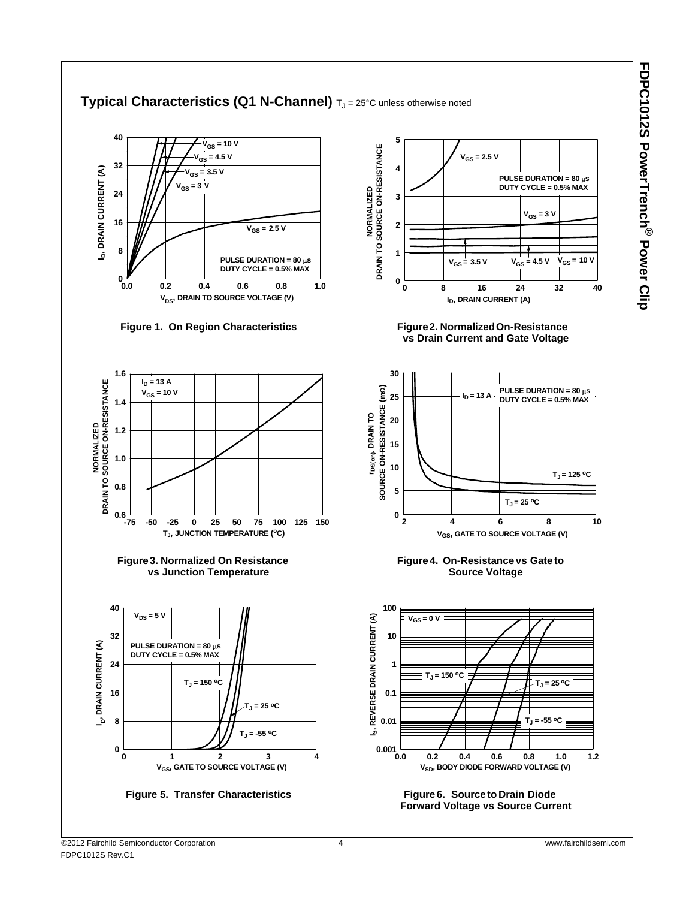FDPC1012S PowerTrench® Power Clip **FDPC1012S PowerTrench ® Power Clip**

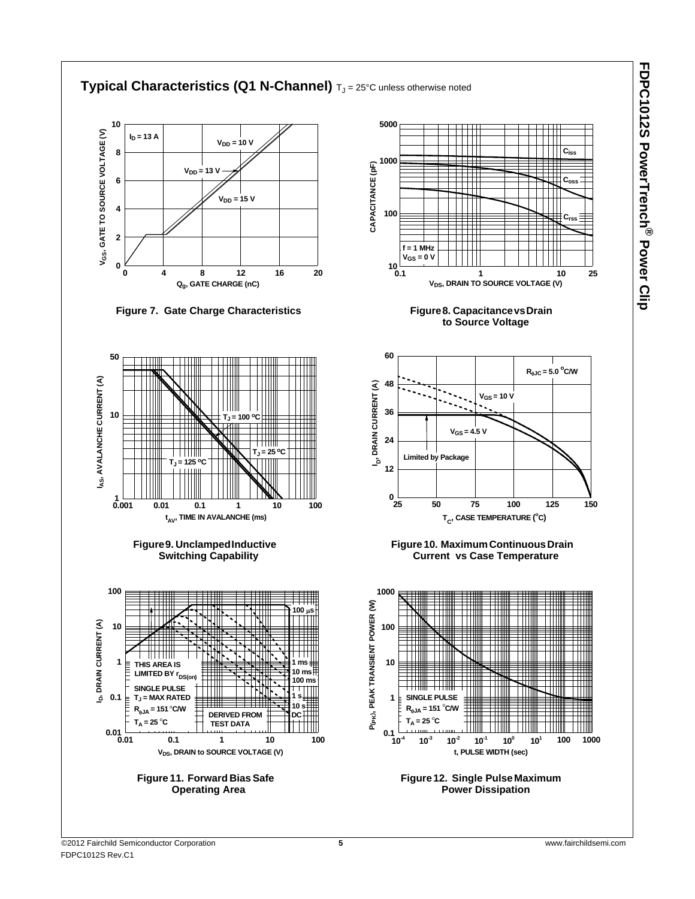FDPC1012S PowerTrench® Power Clip **FDPC1012S PowerTrench ® Power Clip**

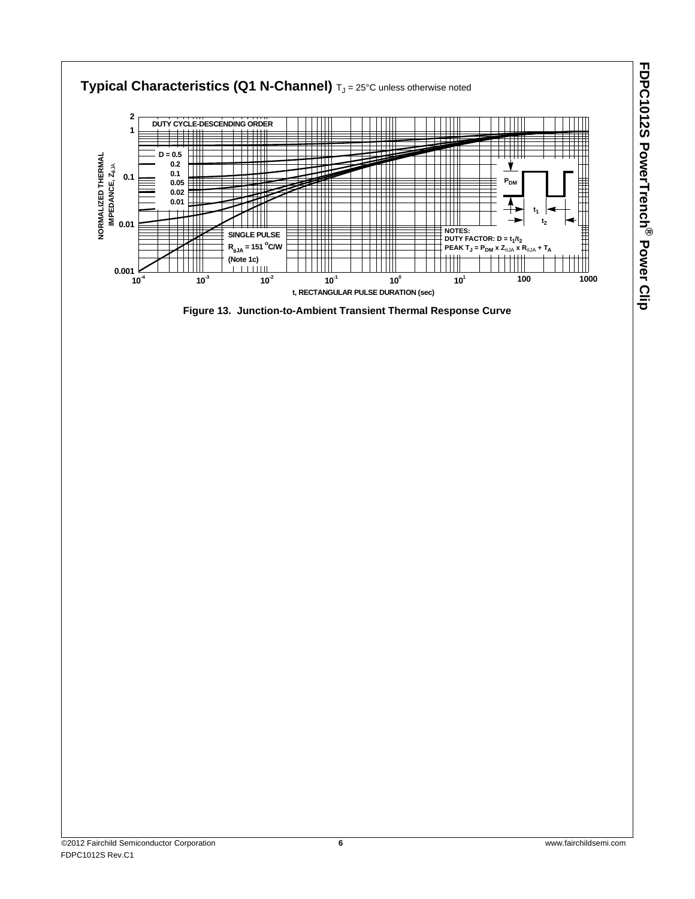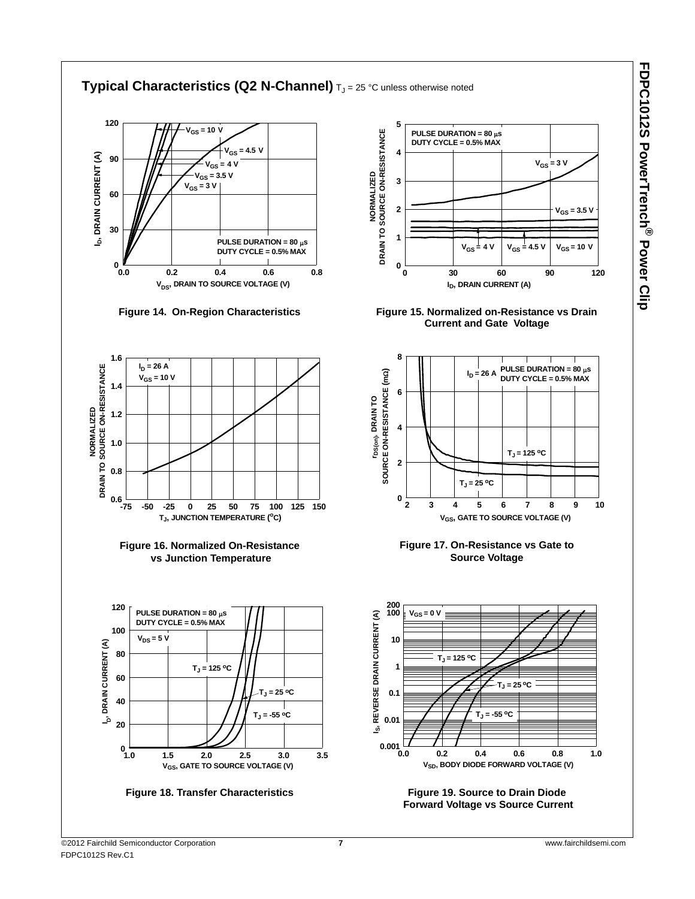

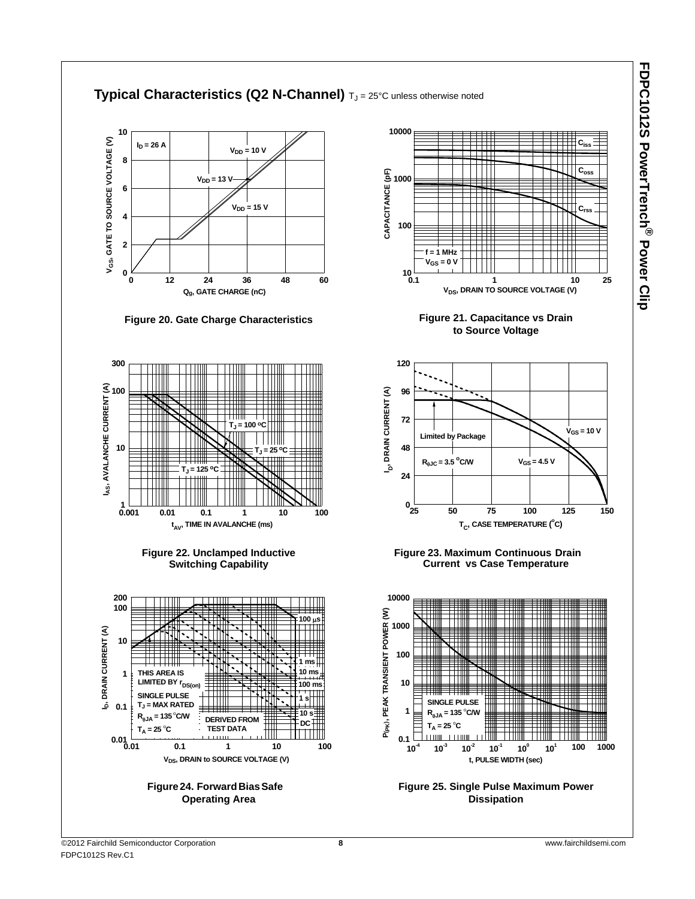

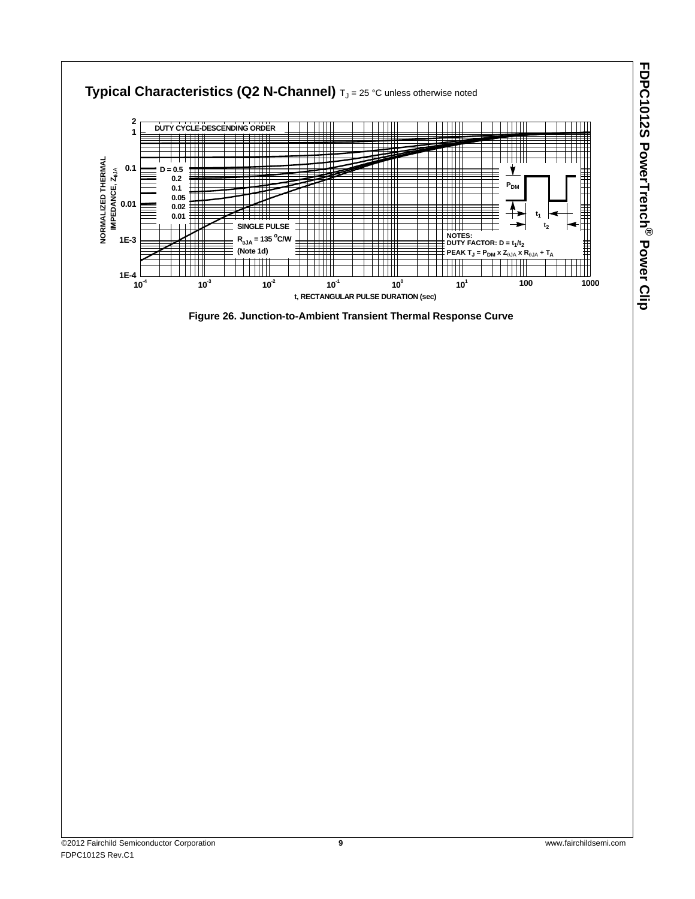

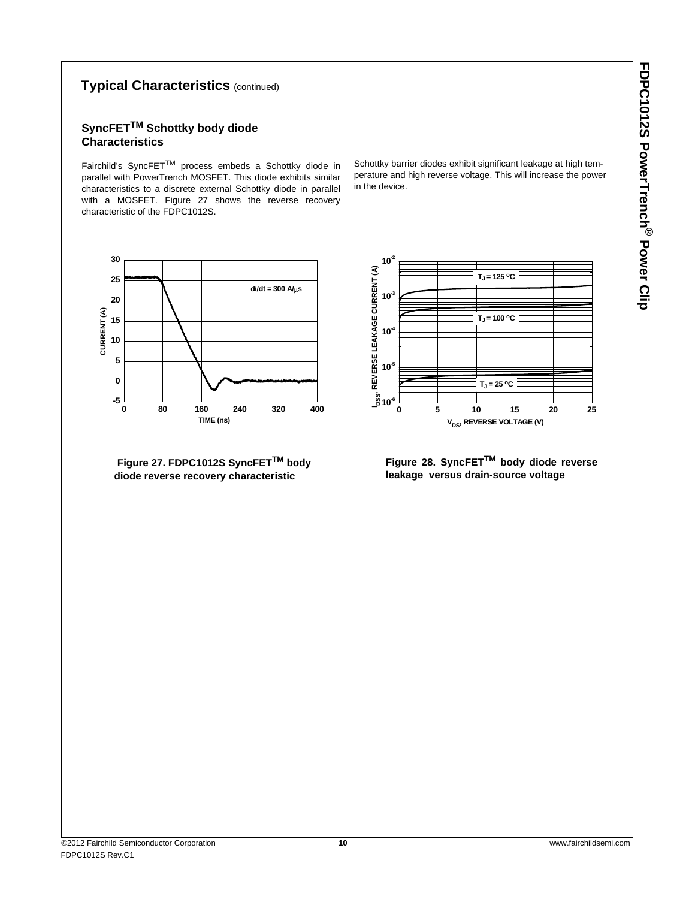# **Typical Characteristics** (continued)

# **SyncFETTM Schottky body diode Characteristics**

Fairchild's SyncFETTM process embeds a Schottky diode in parallel with PowerTrench MOSFET. This diode exhibits similar characteristics to a discrete external Schottky diode in parallel with a MOSFET. Figure 27 shows the reverse recovery characteristic of the FDPC1012S.

Schottky barrier diodes exhibit significant leakage at high temperature and high reverse voltage. This will increase the power in the device.



**Figure 27. FDPC1012S SyncFETTM body diode reverse recovery characteristic**

**0 5 10 15 20 25 10-6 10-5 10-4 10-3 10-2**  $T_J = 125 °C$  $T_J = 100 °C$  $T_1 = 25 °C$ **IDSS, REVERSE LEAKAGE CURRENT (A) V<sub>DS</sub>**, REVERSE VOLTAGE (V)

**Figure 28. SyncFETTM body diode reverse leakage versus drain-source voltage**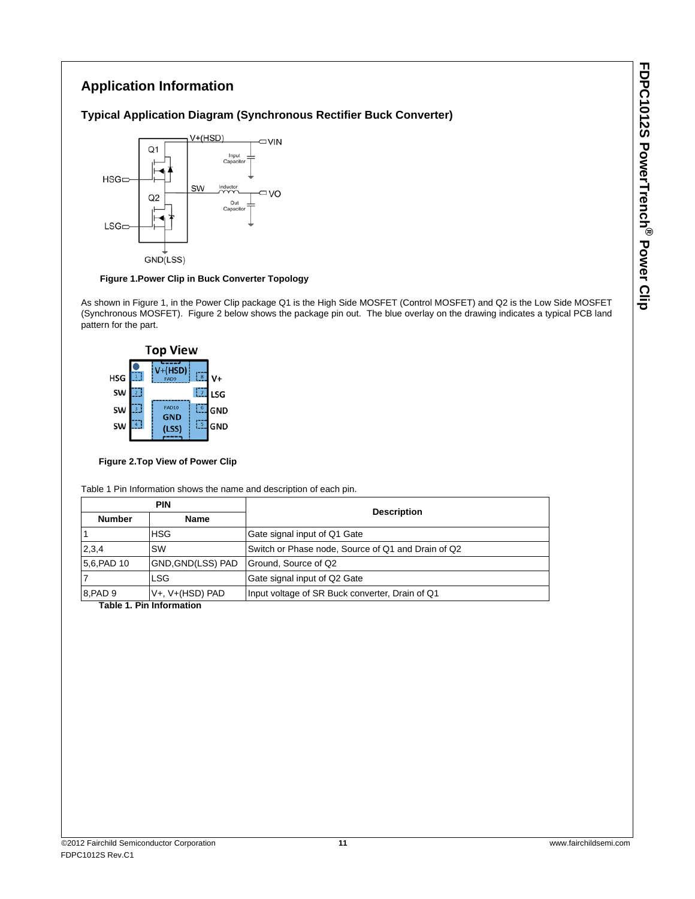# **Application Information**

### **Typical Application Diagram (Synchronous Rectifier Buck Converter)**



### **Figure 1.Power Clip in Buck Converter Topology**

As shown in Figure 1, in the Power Clip package Q1 is the High Side MOSFET (Control MOSFET) and Q2 is the Low Side MOSFET (Synchronous MOSFET). Figure 2 below shows the package pin out. The blue overlay on the drawing indicates a typical PCB land pattern for the part.



### **Figure 2.Top View of Power Clip**

Table 1 Pin Information shows the name and description of each pin.

| <b>PIN</b>    |                       | <b>Description</b>                                 |  |
|---------------|-----------------------|----------------------------------------------------|--|
| <b>Number</b> | <b>Name</b>           |                                                    |  |
|               | <b>HSG</b>            | Gate signal input of Q1 Gate                       |  |
| 2,3,4         | <b>SW</b>             | Switch or Phase node, Source of Q1 and Drain of Q2 |  |
| 5,6, PAD 10   | GND, GND(LSS) PAD     | Ground, Source of Q2                               |  |
|               | <b>LSG</b>            | Gate signal input of Q2 Gate                       |  |
| 8.PAD 9       | $V+$ , $V+$ (HSD) PAD | Input voltage of SR Buck converter, Drain of Q1    |  |

 **Table 1. Pin Information**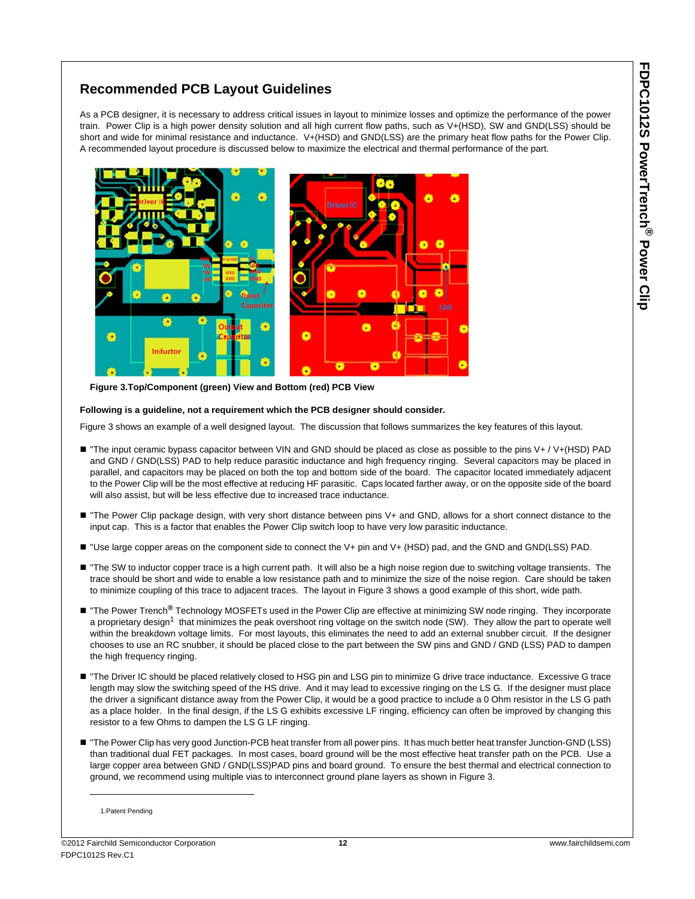# **Recommended PCB Layout Guidelines**

As a PCB designer, it is necessary to address critical issues in layout to minimize losses and optimize the performance of the power train. Power Clip is a high power density solution and all high current flow paths, such as V+(HSD), SW and GND(LSS) should be short and wide for minimal resistance and inductance. V+(HSD) and GND(LSS) are the primary heat flow paths for the Power Clip. A recommended layout procedure is discussed below to maximize the electrical and thermal performance of the part.



 **Figure 3.Top/Component (green) View and Bottom (red) PCB View** 

### **Following is a guideline, not a requirement which the PCB designer should consider.**

Figure 3 shows an example of a well designed layout. The discussion that follows summarizes the key features of this layout.

- "The input ceramic bypass capacitor between VIN and GND should be placed as close as possible to the pins V+ / V+(HSD) PAD and GND / GND(LSS) PAD to help reduce parasitic inductance and high frequency ringing. Several capacitors may be placed in parallel, and capacitors may be placed on both the top and bottom side of the board. The capacitor located immediately adjacent to the Power Clip will be the most effective at reducing HF parasitic. Caps located farther away, or on the opposite side of the board will also assist, but will be less effective due to increased trace inductance.
- "The Power Clip package design, with very short distance between pins V+ and GND, allows for a short connect distance to the input cap. This is a factor that enables the Power Clip switch loop to have very low parasitic inductance.
- "Use large copper areas on the component side to connect the V+ pin and V+ (HSD) pad, and the GND and GND(LSS) PAD.
- "The SW to inductor copper trace is a high current path. It will also be a high noise region due to switching voltage transients. The trace should be short and wide to enable a low resistance path and to minimize the size of the noise region. Care should be taken to minimize coupling of this trace to adjacent traces. The layout in Figure 3 shows a good example of this short, wide path.
- "The Power Trench<sup>®</sup> Technology MOSFETs used in the Power Clip are effective at minimizing SW node ringing. They incorporate a proprietary design<sup>1</sup> that minimizes the peak overshoot ring voltage on the switch node (SW). They allow the part to operate well within the breakdown voltage limits. For most layouts, this eliminates the need to add an external snubber circuit. If the designer chooses to use an RC snubber, it should be placed close to the part between the SW pins and GND / GND (LSS) PAD to dampen the high frequency ringing.
- "The Driver IC should be placed relatively closed to HSG pin and LSG pin to minimize G drive trace inductance. Excessive G trace length may slow the switching speed of the HS drive. And it may lead to excessive ringing on the LS G. If the designer must place the driver a significant distance away from the Power Clip, it would be a good practice to include a 0 Ohm resistor in the LS G path as a place holder. In the final design, if the LS G exhibits excessive LF ringing, efficiency can often be improved by changing this resistor to a few Ohms to dampen the LS G LF ringing.
- "The Power Clip has very good Junction-PCB heat transfer from all power pins. It has much better heat transfer Junction-GND (LSS) than traditional dual FET packages. In most cases, board ground will be the most effective heat transfer path on the PCB. Use a large copper area between GND / GND(LSS)PAD pins and board ground. To ensure the best thermal and electrical connection to ground, we recommend using multiple vias to interconnect ground plane layers as shown in Figure 3.

<sup>1.</sup>Patent Pending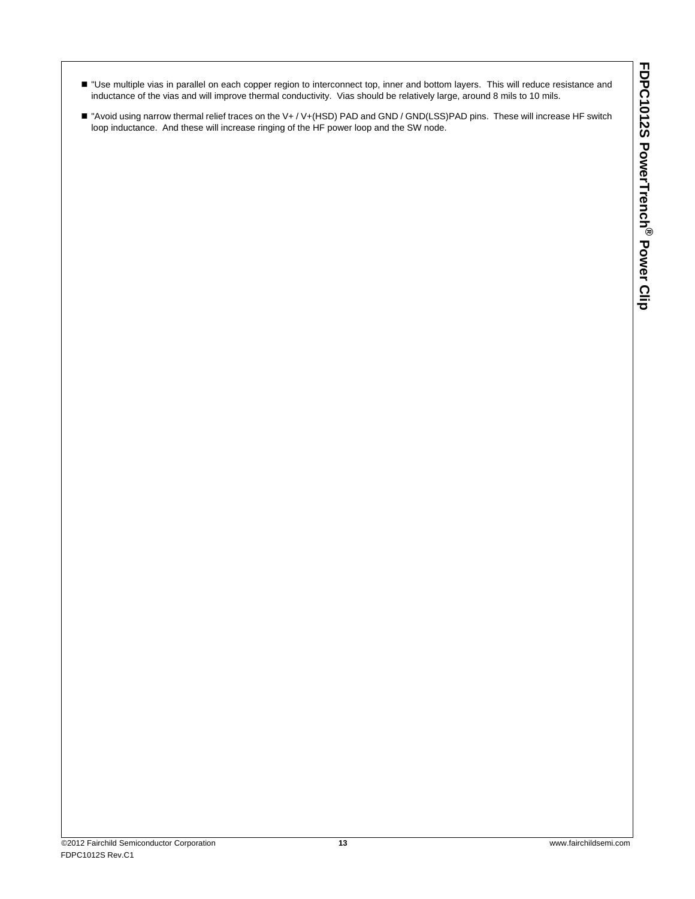- Use multiple vias in parallel on each copper region to interconnect top, inner and bottom layers. This will reduce resistance and inductance of the vias and will improve thermal conductivity. Vias should be relatively large, around 8 mils to 10 mils.
- "Avoid using narrow thermal relief traces on the V+ / V+(HSD) PAD and GND / GND(LSS)PAD pins. These will increase HF switch loop inductance. And these will increase ringing of the HF power loop and the SW node.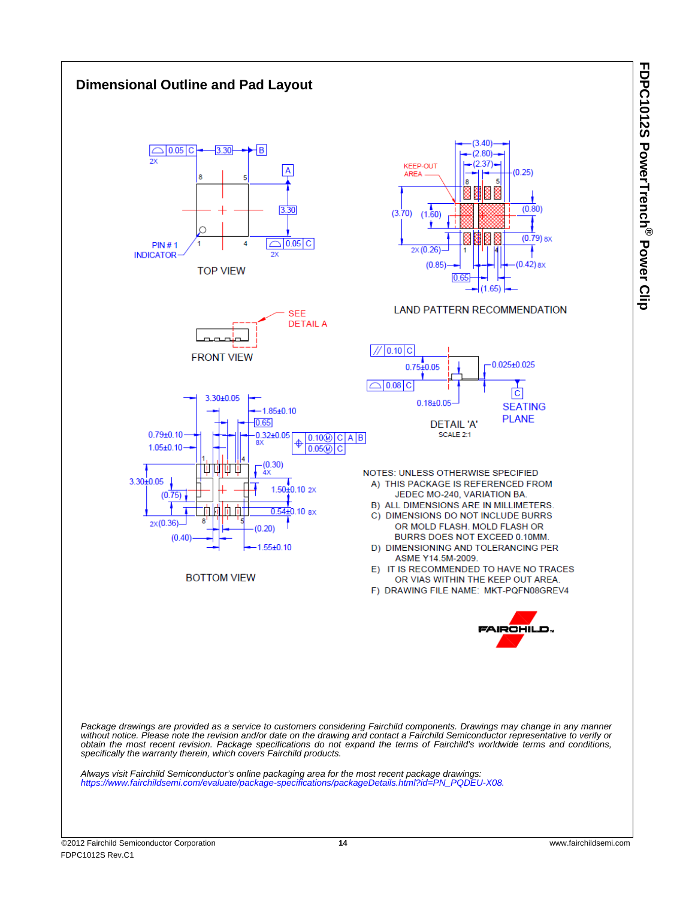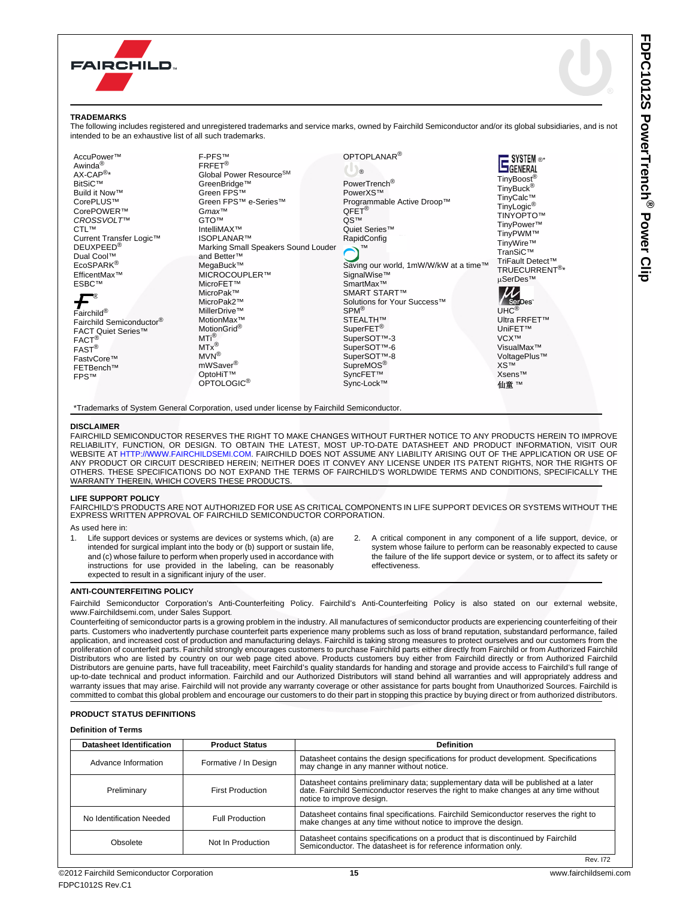

### **TRADEMARKS**

**DISC** 

The following includes registered and unregistered trademarks and service marks, owned by Fairchild Semiconductor and/or its global subsidiaries, and is not intended to be an exhaustive list of all such trademarks.

[FAIRCHILD SEMICONDUCTOR RESERVES THE RIGHT TO MAKE CHANGES WITHOUT FURTHER NOTICE TO ANY PRODUCTS HEREIN TO IMPROVE](http://www.fairchildsemi.com) RELIABILITY, FUNCTION, OR DESIGN. TO OBTAIN THE LATEST, MOST UP-TO-DATE DATASHEET AND PRODUCT INFORMATION, VISIT OUR [WEBSITE AT](http://www.fairchildsemi.com) <HTTP://WWW.FAIRCHILDSEMI.COM>. FAIRCHILD DOES NOT ASSUME ANY LIABILITY ARISING OUT OF THE APPLICATION OR USE OF<br>ANY PRODUCT OR CIRCUIT DESCRIBED HEREIN; NEITHER DOES IT CONVEY ANY LICENSE UNDER ITS PATENT RIGHTS, OTHERS. THESE SPECIFICATIONS DO NOT EXPAND THE TERMS OF FAIRCHILD'S WORLDWIDE TERMS AND CONDITIONS, SPECIFICALLY THE WARRANTY THEREIN, WHICH COVERS THESE PRODUCTS

#### **LIFE SUPPORT POLICY**

FAIRCHILD'S PRODUCTS ARE NOT AUTHORIZED FOR USE AS CRITICAL COMPONENTS IN LIFE SUPPORT DEVICES OR SYSTEMS WITHOUT THE<br>EXPRESS WRITTEN APPROVAL OF FAIRCHILD SEMICONDUCTOR CORPORATION.

As used here in:

- Life support devices or systems are devices or systems which, (a) are intended for surgical implant into the body or (b) support or sustain life, and (c) whose failure to perform when properly used in accordance with instructions for use provided in the labeling, can be reasonably expected to result in a significant injury of the user.
- 2. A critical component in any component of a life support, device, or system whose failure to perform can be reasonably expected to cause the failure of the life support device or system, or to affect its safety or effectiveness.

#### **ANTI-COUNTERFEITING POLICY**

Fairchild Semiconductor Corporation's Anti-Counterfeiting Policy. Fairchild's Anti-Counterfeiting Policy is also stated on our external website, www.Fairchildsemi.com, under Sales Support.

Counterfeiting of semiconductor parts is a growing problem in the industry. All manufactures of semiconductor products are experiencing counterfeiting of their parts. Customers who inadvertently purchase counterfeit parts experience many problems such as loss of brand reputation, substandard performance, failed application, and increased cost of production and manufacturing delays. Fairchild is taking strong measures to protect ourselves and our customers from the proliferation of counterfeit parts. Fairchild strongly encourages customers to purchase Fairchild parts either directly from Fairchild or from Authorized Fairchild Distributors who are listed by country on our web page cited above. Products customers buy either from Fairchild directly or from Authorized Fairchild Distributors are genuine parts, have full traceability, meet Fairchild's quality standards for handing and storage and provide access to Fairchild's full range of up-to-date technical and product information. Fairchild and our Authorized Distributors will stand behind all warranties and will appropriately address and warranty issues that may arise. Fairchild will not provide any warranty coverage or other assistance for parts bought from Unauthorized Sources. Fairchild is committed to combat this global problem and encourage our customers to do their part in stopping this practice by buying direct or from authorized distributors.

#### **PRODUCT STATUS DEFINITIONS**

#### **Definition of Terms**

| <b>Datasheet Identification</b><br><b>Product Status</b> |                         | <b>Definition</b>                                                                                                                                                                                         |
|----------------------------------------------------------|-------------------------|-----------------------------------------------------------------------------------------------------------------------------------------------------------------------------------------------------------|
| Advance Information                                      | Formative / In Design   | Datasheet contains the design specifications for product development. Specifications<br>may change in any manner without notice.                                                                          |
| Preliminary                                              | <b>First Production</b> | Datasheet contains preliminary data; supplementary data will be published at a later<br>date. Fairchild Semiconductor reserves the right to make changes at any time without<br>notice to improve design. |
| No Identification Needed                                 | <b>Full Production</b>  | Datasheet contains final specifications. Fairchild Semiconductor reserves the right to<br>make changes at any time without notice to improve the design.                                                  |
| Obsolete                                                 | Not In Production       | Datasheet contains specifications on a product that is discontinued by Fairchild<br>Semiconductor. The datasheet is for reference information only.                                                       |

Rev. I72